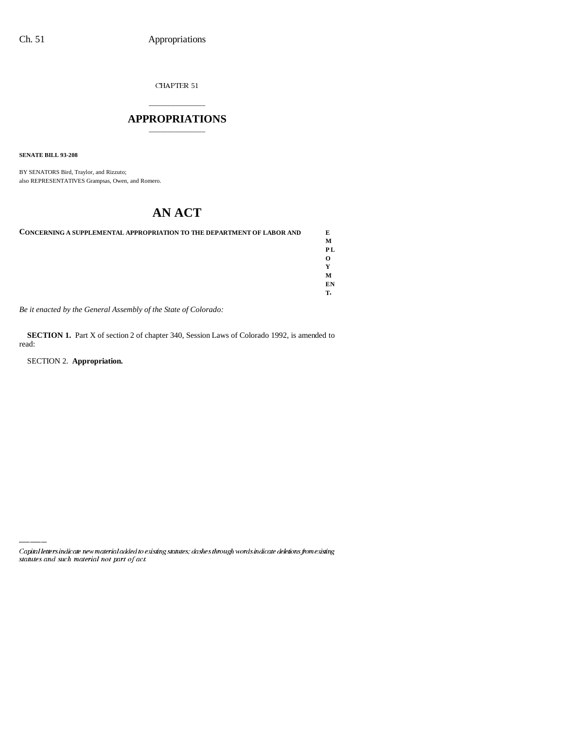CHAPTER  $51\,$ 

# \_\_\_\_\_\_\_\_\_\_\_\_\_\_\_ **APPROPRIATIONS** \_\_\_\_\_\_\_\_\_\_\_\_\_\_\_

**SENATE BILL 93-208**

BY SENATORS Bird, Traylor, and Rizzuto; also REPRESENTATIVES Grampsas, Owen, and Romero.

# **AN ACT**

| <b>CONCERNING A SUPPLEMENTAL APPROPRIATION TO THE DEPARTMENT OF LABOR AND</b> | E  |
|-------------------------------------------------------------------------------|----|
|                                                                               | м  |
|                                                                               |    |
|                                                                               |    |
|                                                                               |    |
|                                                                               | M  |
|                                                                               | EN |
|                                                                               | т. |
|                                                                               |    |

*Be it enacted by the General Assembly of the State of Colorado:*

**SECTION 1.** Part X of section 2 of chapter 340, Session Laws of Colorado 1992, is amended to read:

SECTION 2. **Appropriation.**

Capital letters indicate new material added to existing statutes; dashes through words indicate deletions from existing statutes and such material not part of act.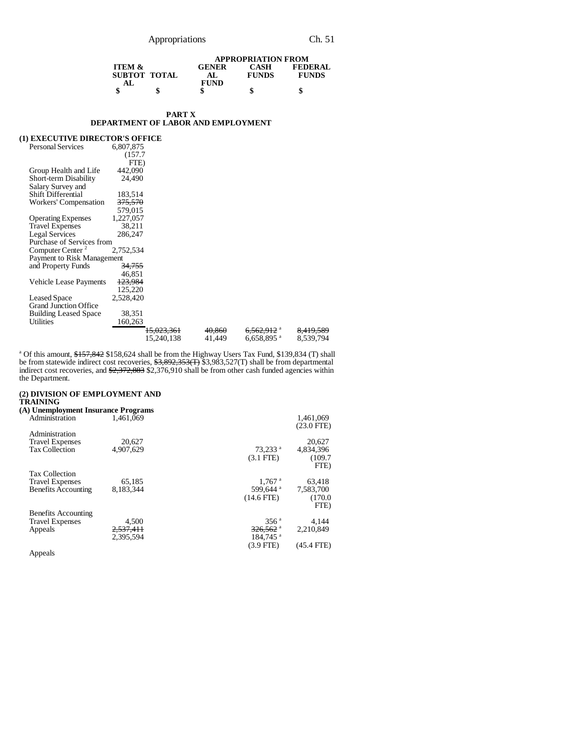|                                 |              | <b>APPROPRIATION FROM</b> |              |                |
|---------------------------------|--------------|---------------------------|--------------|----------------|
| <b>ITEM <math>\&amp;</math></b> |              | <b>GENER</b>              | <b>CASH</b>  | <b>FEDERAL</b> |
|                                 | SUBTOT TOTAL | АI                        | <b>FUNDS</b> | <b>FUNDS</b>   |
| AT.                             |              | <b>FUND</b>               |              |                |
|                                 | \$           |                           | S            | a              |

#### **PART X DEPARTMENT OF LABOR AND EMPLOYMENT**

### **(1) EXECUTIVE DIRECTOR'S OFFICE**

| <b>Personal Services</b>     | 6,807,875          |                       |        |                          |                      |
|------------------------------|--------------------|-----------------------|--------|--------------------------|----------------------|
|                              | (157.7             |                       |        |                          |                      |
|                              | FTE)               |                       |        |                          |                      |
| Group Health and Life        | 442,090            |                       |        |                          |                      |
| Short-term Disability        | 24.490             |                       |        |                          |                      |
| Salary Survey and            |                    |                       |        |                          |                      |
| <b>Shift Differential</b>    | 183,514            |                       |        |                          |                      |
| Workers' Compensation        | <del>375,570</del> |                       |        |                          |                      |
|                              | 579,015            |                       |        |                          |                      |
| <b>Operating Expenses</b>    | 1,227,057          |                       |        |                          |                      |
| <b>Travel Expenses</b>       | 38,211             |                       |        |                          |                      |
| <b>Legal Services</b>        | 286,247            |                       |        |                          |                      |
| Purchase of Services from    |                    |                       |        |                          |                      |
| Computer Center <sup>2</sup> | 2,752,534          |                       |        |                          |                      |
| Payment to Risk Management   |                    |                       |        |                          |                      |
| and Property Funds           | <del>34,755</del>  |                       |        |                          |                      |
|                              | 46,851             |                       |        |                          |                      |
| Vehicle Lease Payments       | 123,984            |                       |        |                          |                      |
|                              | 125,220            |                       |        |                          |                      |
| <b>Leased Space</b>          | 2,528,420          |                       |        |                          |                      |
| <b>Grand Junction Office</b> |                    |                       |        |                          |                      |
| <b>Building Leased Space</b> | 38,351             |                       |        |                          |                      |
| Utilities                    | 160,263            |                       |        |                          |                      |
|                              |                    | <del>15.023.361</del> | 40.860 | <del>6.562.912</del> ª   | <del>8.419.589</del> |
|                              |                    | 15,240,138            | 41,449 | $6,658,895$ <sup>a</sup> | 8,539,794            |

<sup>a</sup> Of this amount, \$<del>157,842</del> \$158,624 shall be from the Highway Users Tax Fund, \$139,834 (T) shall be from statewide indirect cost recoveries, \$3,892,353(T) \$3,983,527(T) shall be from departmental indirect cost recoveries, and  $\frac{2,372,883}{2,376,910}$  shall be from other cash funded agencies within the Department.

#### **(2) DIVISION OF EMPLOYMENT AND TRAINING**

| (A) Unemployment Insurance Programs |           |                        |                           |
|-------------------------------------|-----------|------------------------|---------------------------|
| Administration                      | 1.461.069 |                        | 1,461,069<br>$(23.0$ FTE) |
| Administration                      |           |                        |                           |
| <b>Travel Expenses</b>              | 20,627    |                        | 20,627                    |
| <b>Tax Collection</b>               | 4.907.629 | $73,233$ <sup>a</sup>  | 4,834,396                 |
|                                     |           | $(3.1$ FTE $)$         | (109.7)                   |
|                                     |           |                        | FTE)                      |
| <b>Tax Collection</b>               |           |                        |                           |
| <b>Travel Expenses</b>              | 65.185    | $1.767$ <sup>a</sup>   | 63.418                    |
| <b>Benefits Accounting</b>          | 8.183.344 | 599.644 <sup>a</sup>   | 7.583.700                 |
|                                     |           | $(14.6$ FTE)           | (170.0)                   |
|                                     |           |                        | FTE)                      |
| <b>Benefits Accounting</b>          |           |                        |                           |
| <b>Travel Expenses</b>              | 4.500     | 356 <sup>a</sup>       | 4.144                     |
| Appeals                             | 2.537.411 | $326,562$ <sup>a</sup> | 2.210.849                 |
|                                     | 2.395.594 | $184.745$ <sup>a</sup> |                           |
|                                     |           | $(3.9$ FTE)            | (45.4 FTE)                |
| Annealc                             |           |                        |                           |

Appeals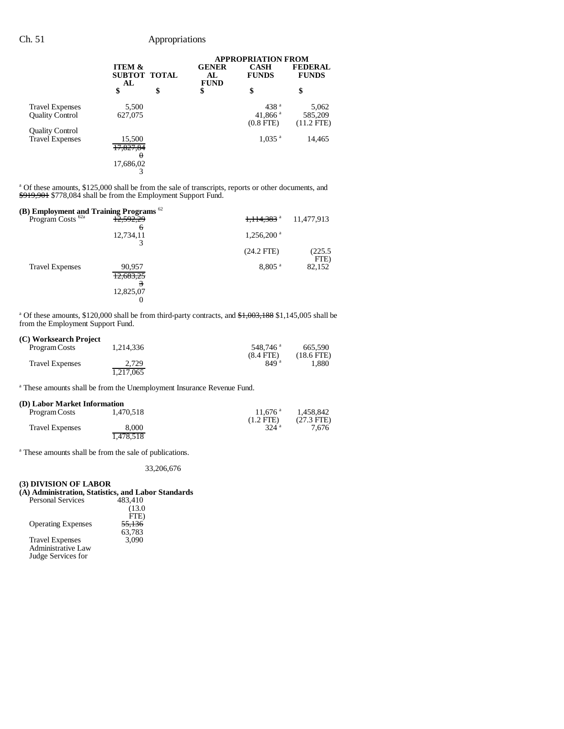|                                                  |                                              |    |                                   | <b>APPROPRIATION FROM</b>                        |                                  |
|--------------------------------------------------|----------------------------------------------|----|-----------------------------------|--------------------------------------------------|----------------------------------|
|                                                  | <b>ITEM &amp;</b><br>SUBTOT TOTAL<br>AL      |    | <b>GENER</b><br>AL<br><b>FUND</b> | <b>CASH</b><br><b>FUNDS</b>                      | <b>FEDERAL</b><br><b>FUNDS</b>   |
|                                                  | \$                                           | \$ | \$                                | \$                                               | \$                               |
| <b>Travel Expenses</b><br><b>Ouality Control</b> | 5,500<br>627,075                             |    |                                   | 438 <sup>a</sup><br>41,866 $a$<br>$(0.8$ FTE $)$ | 5,062<br>585,209<br>$(11.2$ FTE) |
| <b>Quality Control</b><br><b>Travel Expenses</b> | 15,500<br>17,827,84<br>$\theta$<br>17,686,02 |    |                                   | $1,035$ <sup>a</sup>                             | 14,465                           |
|                                                  |                                              |    |                                   |                                                  |                                  |

<sup>a</sup> Of these amounts, \$125,000 shall be from the sale of transcripts, reports or other documents, and \$919,901 \$778,084 shall be from the Employment Support Fund.

| (B) Employment and Training Programs $62$ |                     |                          |                |
|-------------------------------------------|---------------------|--------------------------|----------------|
| Program Costs <sup>62a</sup>              | 12,592,29<br>'n     | 1,114,383 <sup>a</sup>   | 11,477,913     |
|                                           | 12,734,11           | $1,256,200$ <sup>a</sup> |                |
|                                           |                     | $(24.2$ FTE)             | (225.5<br>FTE) |
| <b>Travel Expenses</b>                    | 90,957<br>12,683,25 | $8.805$ <sup>a</sup>     | 82,152         |
|                                           | 12,825,07<br>O      |                          |                |

<sup>a</sup> Of these amounts, \$120,000 shall be from third-party contracts, and \$1,003,188 \$1,145,005 shall be from the Employment Support Fund.

## **(C) Worksearch Project**

| _ , _ _ _ _ _ _ _ _ _ _ _ _ _ _ | 1.214.336          | 548.746 <sup>a</sup> | 665.590      |
|---------------------------------|--------------------|----------------------|--------------|
| Program Costs                   |                    | $(8.4$ FTE)          | $(18.6$ FTE) |
| <b>Travel Expenses</b>          | 2.729<br>1.217.065 | 849 <sup>a</sup>     | 1.880        |

<sup>a</sup> These amounts shall be from the Unemployment Insurance Revenue Fund.

#### **(D) Labor Market Information**

| Program Costs          | 1.470.518 | $11.676$ <sup>a</sup> | 1.458.842            |
|------------------------|-----------|-----------------------|----------------------|
|                        |           | $(1.2$ FTE)           | $(27.3 \text{ FTE})$ |
| <b>Travel Expenses</b> | 8.000     | 324 <sup>a</sup>      | 7.676                |
|                        | 1,478,518 |                       |                      |

<sup>a</sup> These amounts shall be from the sale of publications.

33,206,676

### **(3) DIVISION OF LABOR**

## **(A) Administration, Statistics, and Labor Standards**

| <b>Personal Services</b>  | 483.410 |
|---------------------------|---------|
|                           | (13.0)  |
|                           | FTE)    |
| <b>Operating Expenses</b> | 55,136  |
|                           | 63,783  |
| <b>Travel Expenses</b>    | 3.090   |
| Administrative Law        |         |
| Judge Services for        |         |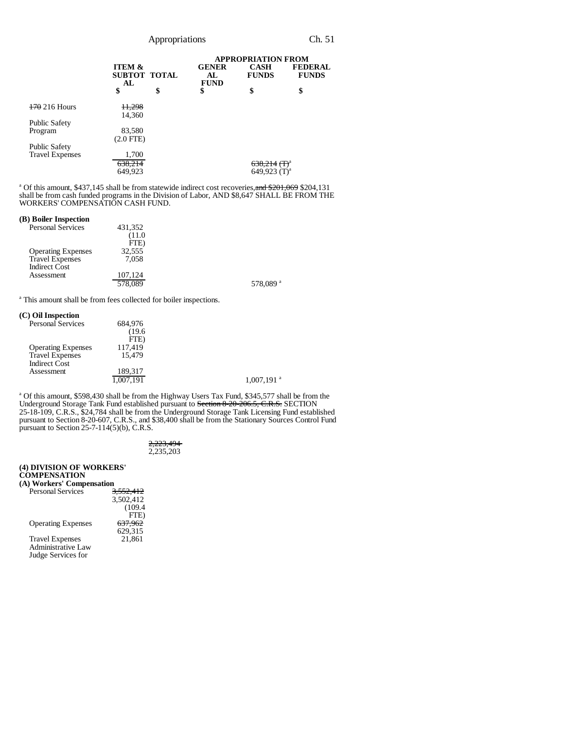|                          |                                                | <b>APPROPRIATION FROM</b>          |                             |                                |
|--------------------------|------------------------------------------------|------------------------------------|-----------------------------|--------------------------------|
|                          | <b>ITEM &amp;</b><br><b>SUBTOT TOTAL</b><br>AL | <b>GENER</b><br>AL.<br><b>FUND</b> | <b>CASH</b><br><b>FUNDS</b> | <b>FEDERAL</b><br><b>FUNDS</b> |
|                          | \$                                             | \$<br>\$                           | \$                          | \$                             |
| <del>170</del> 216 Hours | <del>11,298</del><br>14.360                    |                                    |                             |                                |
| Public Safety            |                                                |                                    |                             |                                |
| Program                  | 83,580<br>$(2.0$ FTE $)$                       |                                    |                             |                                |
| Public Safety            |                                                |                                    |                             |                                |
| <b>Travel Expenses</b>   | 1,700                                          |                                    |                             |                                |
|                          | 638,214                                        |                                    | $638,214$ (T) <sup>a</sup>  |                                |
|                          | 649.923                                        |                                    | 649,923 $(T)^a$             |                                |

<sup>a</sup> Of this amount, \$437,145 shall be from statewide indirect cost recoveries, and \$201,069 \$204,131 shall be from cash funded programs in the Division of Labor, AND \$8,647 SHALL BE FROM THE WORKERS' COMPENSATION CASH FUND.

#### **(B) Boiler Inspection**

| <b>Personal Services</b>  | 431,352 |  |
|---------------------------|---------|--|
|                           | (11.0)  |  |
|                           | FTE)    |  |
| <b>Operating Expenses</b> | 32.555  |  |
| Travel Expenses           | 7.058   |  |
| <b>Indirect Cost</b>      |         |  |
| Assessment                | 107.124 |  |
|                           | 578,089 |  |

578,089 $^{\rm a}$ 

<sup>a</sup> This amount shall be from fees collected for boiler inspections.

# **(C) Oil Inspection**

| л он нізресион            |          |                          |
|---------------------------|----------|--------------------------|
| <b>Personal Services</b>  | 684,976  |                          |
|                           | (19.6)   |                          |
|                           | FTE)     |                          |
| <b>Operating Expenses</b> | 117,419  |                          |
| <b>Travel Expenses</b>    | 15.479   |                          |
| <b>Indirect Cost</b>      |          |                          |
| Assessment                | 189,317  |                          |
|                           | ,007,191 | $1,007,191$ <sup>a</sup> |
|                           |          |                          |

<sup>a</sup> Of this amount, \$598,430 shall be from the Highway Users Tax Fund, \$345,577 shall be from the Underground Storage Tank Fund established pursuant to Section 8-20-206.5, C.R.S. SECTION 25-18-109, C.R.S., \$24,784 shall be from the Underground Storage Tank Licensing Fund established pursuant to Section 8-20-607, C.R.S., and \$38,400 shall be from the Stationary Sources Control Fund pursuant to Section 25-7-114(5)(b), C.R.S.

> 2,223,494 2,235,203

#### **(4) DIVISION OF WORKERS' COMPENSATION (A) Workers' Compensation**

| A) WOLKCLS COMPCHSAUOH    |                      |
|---------------------------|----------------------|
| <b>Personal Services</b>  | <del>3.552.412</del> |
|                           | 3,502,412            |
|                           | (109.4)              |
|                           | FTE)                 |
| <b>Operating Expenses</b> | <del>637,962</del>   |
|                           | 629,315              |
| <b>Travel Expenses</b>    | 21.861               |
| <b>Administrative Law</b> |                      |
| Judge Services for        |                      |
|                           |                      |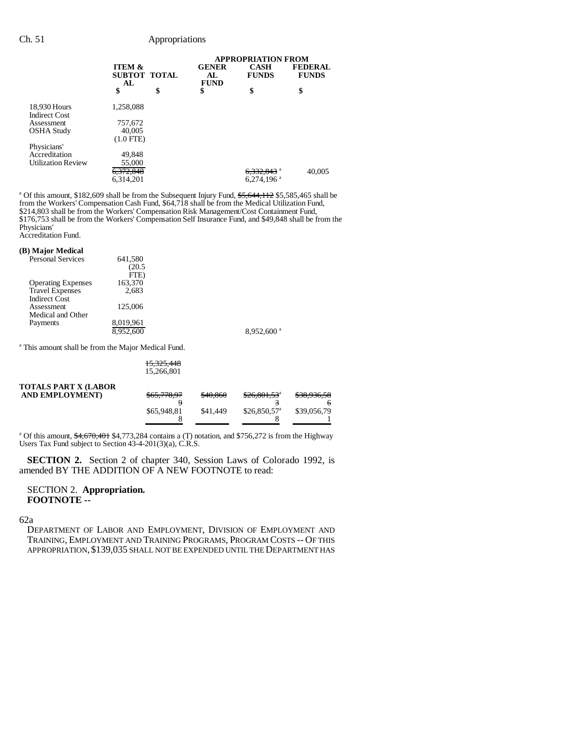|                                      |                                         | <b>APPROPRIATION FROM</b>         |                             |                                |  |
|--------------------------------------|-----------------------------------------|-----------------------------------|-----------------------------|--------------------------------|--|
|                                      | <b>ITEM &amp;</b><br>SUBTOT TOTAL<br>AL | <b>GENER</b><br>AL<br><b>FUND</b> | <b>CASH</b><br><b>FUNDS</b> | <b>FEDERAL</b><br><b>FUNDS</b> |  |
|                                      | \$                                      | \$<br>\$                          | \$                          | \$                             |  |
| 18,930 Hours<br><b>Indirect Cost</b> | 1,258,088                               |                                   |                             |                                |  |
| Assessment                           | 757,672                                 |                                   |                             |                                |  |
| <b>OSHA Study</b>                    | 40,005                                  |                                   |                             |                                |  |
|                                      | $(1.0$ FTE)                             |                                   |                             |                                |  |
| Physicians'                          |                                         |                                   |                             |                                |  |
| Accreditation                        | 49,848                                  |                                   |                             |                                |  |
| <b>Utilization Review</b>            | 55,000                                  |                                   |                             |                                |  |
|                                      | <del>6,372,848</del>                    |                                   | 6,332,843 <sup>a</sup>      | 40,005                         |  |
|                                      | 6.314.201                               |                                   | $6,274,196$ <sup>a</sup>    |                                |  |

<sup>a</sup> Of this amount, \$182,609 shall be from the Subsequent Injury Fund, \$5,644, 112 \$5,585,465 shall be from the Workers' Compensation Cash Fund, \$64,718 shall be from the Medical Utilization Fund, \$214,803 shall be from the Workers' Compensation Risk Management/Cost Containment Fund, \$176,753 shall be from the Workers' Compensation Self Insurance Fund, and \$49,848 shall be from the Physicians' Accreditation Fund.

#### **(B) Major Medical**

| <b>Personal Services</b>  | 641,580   |                          |
|---------------------------|-----------|--------------------------|
|                           | (20.5     |                          |
|                           | FTE)      |                          |
| <b>Operating Expenses</b> | 163,370   |                          |
| <b>Travel Expenses</b>    | 2,683     |                          |
| <b>Indirect Cost</b>      |           |                          |
| Assessment                | 125,006   |                          |
| Medical and Other         |           |                          |
| Payments                  | 8,019,961 |                          |
|                           | 8,952,600 | $8.952.600$ <sup>a</sup> |
|                           |           |                          |

<sup>a</sup> This amount shall be from the Major Medical Fund.

| 15,325,448 |  |
|------------|--|
| 15,266,801 |  |

| <b>TOTALS PART X (LABOR</b> |             |          |                          |             |
|-----------------------------|-------------|----------|--------------------------|-------------|
| <b>AND EMPLOYMENT</b> )     | \$65,778,97 | \$40,860 | $$26,801,53^{\circ}$     | \$38,936,58 |
|                             |             |          |                          | 6           |
|                             | \$65,948,81 | \$41,449 | \$26.850.57 <sup>a</sup> | \$39,056.79 |
|                             |             |          |                          |             |
|                             |             |          |                          |             |

<sup>a</sup> Of this amount, \$4,670,401 \$4,773,284 contains a (T) notation, and \$756,272 is from the Highway Users Tax Fund subject to Section 43-4-201(3)(a), C.R.S.

**SECTION 2.** Section 2 of chapter 340, Session Laws of Colorado 1992, is amended BY THE ADDITION OF A NEW FOOTNOTE to read:

## SECTION 2. **Appropriation. FOOTNOTE --**

62a

DEPARTMENT OF LABOR AND EMPLOYMENT, DIVISION OF EMPLOYMENT AND TRAINING, EMPLOYMENT AND TRAINING PROGRAMS, PROGRAM COSTS -- OF THIS APPROPRIATION, \$139,035 SHALL NOT BE EXPENDED UNTIL THE DEPARTMENT HAS